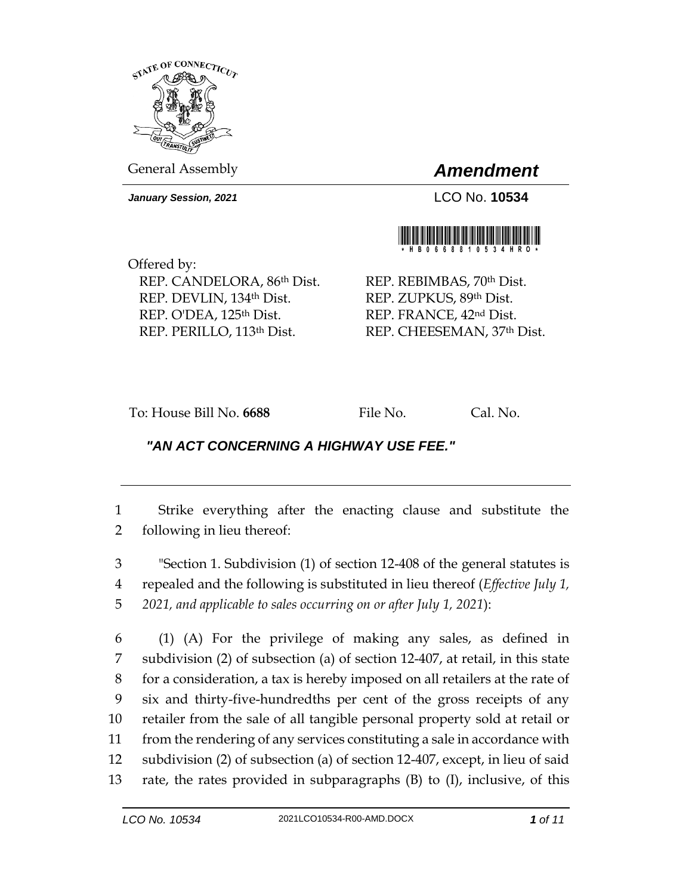

General Assembly *Amendment*

*January Session, 2021* LCO No. **10534**



Offered by: REP. CANDELORA, 86th Dist. REP. DEVLIN, 134th Dist. REP. O'DEA, 125<sup>th</sup> Dist. REP. PERILLO, 113th Dist.

REP. REBIMBAS, 70th Dist. REP. ZUPKUS, 89th Dist. REP. FRANCE, 42nd Dist. REP. CHEESEMAN, 37th Dist.

To: House Bill No. **6688** File No. Cal. No.

## *"AN ACT CONCERNING A HIGHWAY USE FEE."*

1 Strike everything after the enacting clause and substitute the 2 following in lieu thereof:

3 "Section 1. Subdivision (1) of section 12-408 of the general statutes is 4 repealed and the following is substituted in lieu thereof (*Effective July 1,*  5 *2021, and applicable to sales occurring on or after July 1, 2021*):

 (1) (A) For the privilege of making any sales, as defined in subdivision (2) of subsection (a) of section 12-407, at retail, in this state for a consideration, a tax is hereby imposed on all retailers at the rate of six and thirty-five-hundredths per cent of the gross receipts of any retailer from the sale of all tangible personal property sold at retail or from the rendering of any services constituting a sale in accordance with subdivision (2) of subsection (a) of section 12-407, except, in lieu of said rate, the rates provided in subparagraphs (B) to (I), inclusive, of this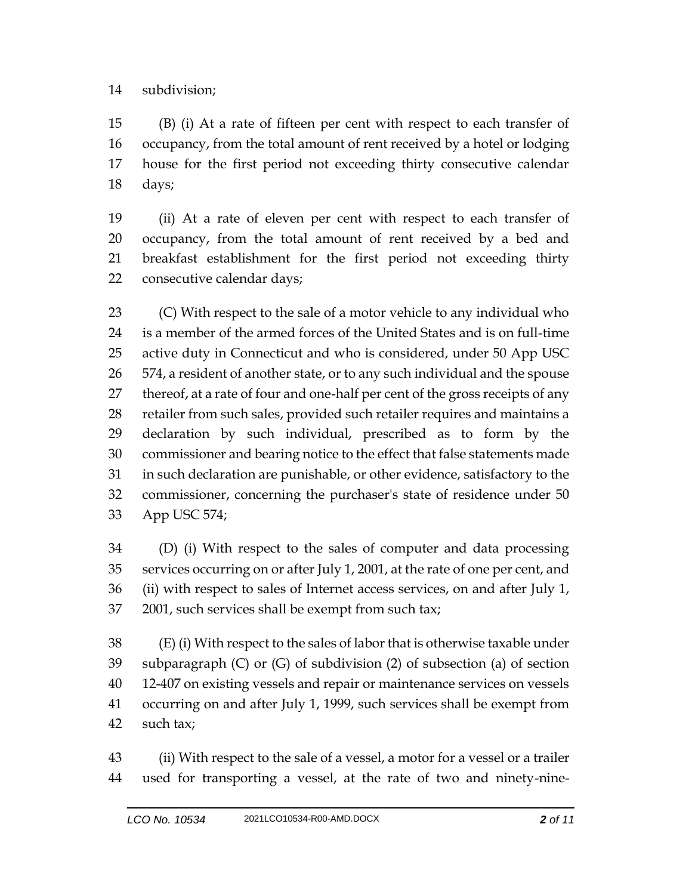## subdivision;

 (B) (i) At a rate of fifteen per cent with respect to each transfer of occupancy, from the total amount of rent received by a hotel or lodging house for the first period not exceeding thirty consecutive calendar days;

 (ii) At a rate of eleven per cent with respect to each transfer of occupancy, from the total amount of rent received by a bed and breakfast establishment for the first period not exceeding thirty consecutive calendar days;

 (C) With respect to the sale of a motor vehicle to any individual who is a member of the armed forces of the United States and is on full-time active duty in Connecticut and who is considered, under 50 App USC 574, a resident of another state, or to any such individual and the spouse thereof, at a rate of four and one-half per cent of the gross receipts of any retailer from such sales, provided such retailer requires and maintains a declaration by such individual, prescribed as to form by the commissioner and bearing notice to the effect that false statements made in such declaration are punishable, or other evidence, satisfactory to the commissioner, concerning the purchaser's state of residence under 50 App USC 574;

 (D) (i) With respect to the sales of computer and data processing services occurring on or after July 1, 2001, at the rate of one per cent, and (ii) with respect to sales of Internet access services, on and after July 1, 2001, such services shall be exempt from such tax;

 (E) (i) With respect to the sales of labor that is otherwise taxable under subparagraph (C) or (G) of subdivision (2) of subsection (a) of section 12-407 on existing vessels and repair or maintenance services on vessels occurring on and after July 1, 1999, such services shall be exempt from such tax;

 (ii) With respect to the sale of a vessel, a motor for a vessel or a trailer used for transporting a vessel, at the rate of two and ninety-nine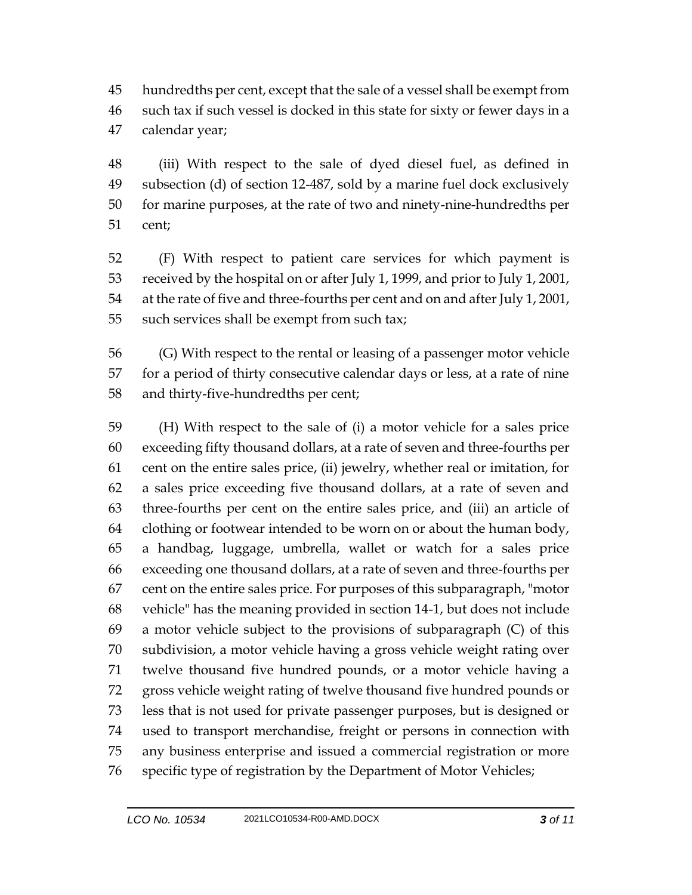hundredths per cent, except that the sale of a vessel shall be exempt from such tax if such vessel is docked in this state for sixty or fewer days in a calendar year;

 (iii) With respect to the sale of dyed diesel fuel, as defined in subsection (d) of section 12-487, sold by a marine fuel dock exclusively for marine purposes, at the rate of two and ninety-nine-hundredths per cent;

 (F) With respect to patient care services for which payment is received by the hospital on or after July 1, 1999, and prior to July 1, 2001, at the rate of five and three-fourths per cent and on and after July 1, 2001, such services shall be exempt from such tax;

 (G) With respect to the rental or leasing of a passenger motor vehicle for a period of thirty consecutive calendar days or less, at a rate of nine and thirty-five-hundredths per cent;

 (H) With respect to the sale of (i) a motor vehicle for a sales price exceeding fifty thousand dollars, at a rate of seven and three-fourths per cent on the entire sales price, (ii) jewelry, whether real or imitation, for a sales price exceeding five thousand dollars, at a rate of seven and three-fourths per cent on the entire sales price, and (iii) an article of clothing or footwear intended to be worn on or about the human body, a handbag, luggage, umbrella, wallet or watch for a sales price exceeding one thousand dollars, at a rate of seven and three-fourths per cent on the entire sales price. For purposes of this subparagraph, "motor vehicle" has the meaning provided in section 14-1, but does not include a motor vehicle subject to the provisions of subparagraph (C) of this subdivision, a motor vehicle having a gross vehicle weight rating over twelve thousand five hundred pounds, or a motor vehicle having a gross vehicle weight rating of twelve thousand five hundred pounds or less that is not used for private passenger purposes, but is designed or used to transport merchandise, freight or persons in connection with any business enterprise and issued a commercial registration or more specific type of registration by the Department of Motor Vehicles;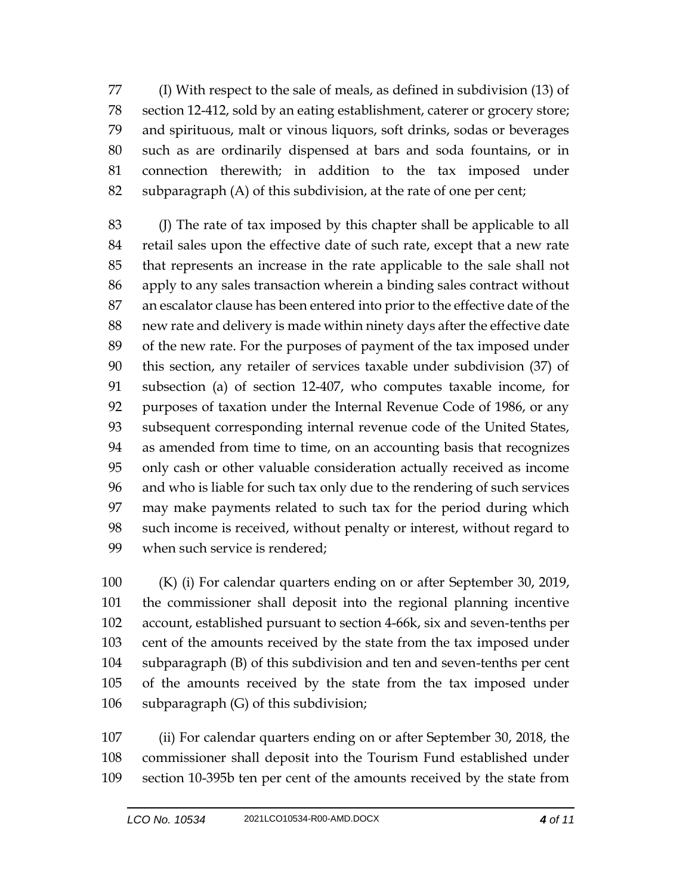(I) With respect to the sale of meals, as defined in subdivision (13) of section 12-412, sold by an eating establishment, caterer or grocery store; and spirituous, malt or vinous liquors, soft drinks, sodas or beverages such as are ordinarily dispensed at bars and soda fountains, or in connection therewith; in addition to the tax imposed under subparagraph (A) of this subdivision, at the rate of one per cent;

 (J) The rate of tax imposed by this chapter shall be applicable to all retail sales upon the effective date of such rate, except that a new rate that represents an increase in the rate applicable to the sale shall not apply to any sales transaction wherein a binding sales contract without an escalator clause has been entered into prior to the effective date of the new rate and delivery is made within ninety days after the effective date of the new rate. For the purposes of payment of the tax imposed under this section, any retailer of services taxable under subdivision (37) of subsection (a) of section 12-407, who computes taxable income, for purposes of taxation under the Internal Revenue Code of 1986, or any subsequent corresponding internal revenue code of the United States, as amended from time to time, on an accounting basis that recognizes only cash or other valuable consideration actually received as income and who is liable for such tax only due to the rendering of such services may make payments related to such tax for the period during which such income is received, without penalty or interest, without regard to when such service is rendered;

 (K) (i) For calendar quarters ending on or after September 30, 2019, the commissioner shall deposit into the regional planning incentive account, established pursuant to section 4-66k, six and seven-tenths per cent of the amounts received by the state from the tax imposed under subparagraph (B) of this subdivision and ten and seven-tenths per cent of the amounts received by the state from the tax imposed under subparagraph (G) of this subdivision;

 (ii) For calendar quarters ending on or after September 30, 2018, the commissioner shall deposit into the Tourism Fund established under section 10-395b ten per cent of the amounts received by the state from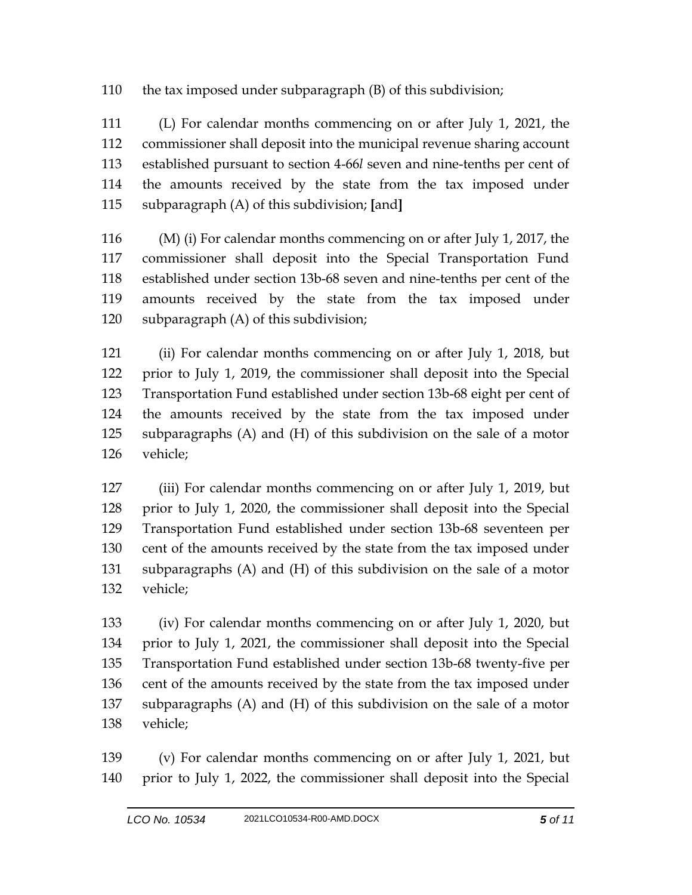the tax imposed under subparagraph (B) of this subdivision;

 (L) For calendar months commencing on or after July 1, 2021, the commissioner shall deposit into the municipal revenue sharing account established pursuant to section 4-66*l* seven and nine-tenths per cent of the amounts received by the state from the tax imposed under subparagraph (A) of this subdivision; **[**and**]**

 (M) (i) For calendar months commencing on or after July 1, 2017, the commissioner shall deposit into the Special Transportation Fund established under section 13b-68 seven and nine-tenths per cent of the amounts received by the state from the tax imposed under subparagraph (A) of this subdivision;

 (ii) For calendar months commencing on or after July 1, 2018, but prior to July 1, 2019, the commissioner shall deposit into the Special Transportation Fund established under section 13b-68 eight per cent of the amounts received by the state from the tax imposed under subparagraphs (A) and (H) of this subdivision on the sale of a motor vehicle;

 (iii) For calendar months commencing on or after July 1, 2019, but prior to July 1, 2020, the commissioner shall deposit into the Special Transportation Fund established under section 13b-68 seventeen per cent of the amounts received by the state from the tax imposed under subparagraphs (A) and (H) of this subdivision on the sale of a motor vehicle;

 (iv) For calendar months commencing on or after July 1, 2020, but prior to July 1, 2021, the commissioner shall deposit into the Special Transportation Fund established under section 13b-68 twenty-five per cent of the amounts received by the state from the tax imposed under subparagraphs (A) and (H) of this subdivision on the sale of a motor vehicle;

 (v) For calendar months commencing on or after July 1, 2021, but prior to July 1, 2022, the commissioner shall deposit into the Special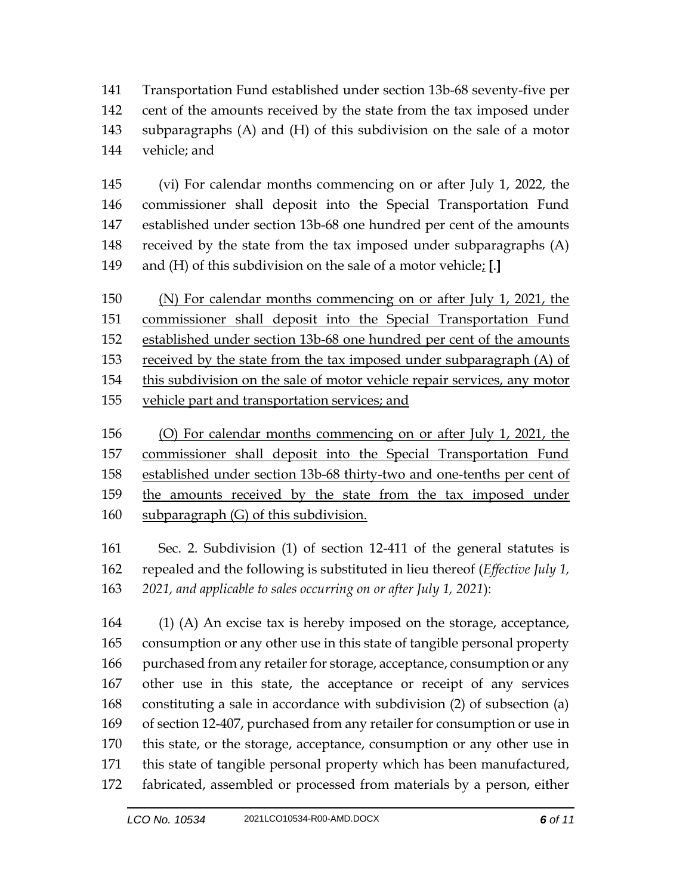Transportation Fund established under section 13b-68 seventy-five per cent of the amounts received by the state from the tax imposed under subparagraphs (A) and (H) of this subdivision on the sale of a motor vehicle; and

 (vi) For calendar months commencing on or after July 1, 2022, the commissioner shall deposit into the Special Transportation Fund established under section 13b-68 one hundred per cent of the amounts received by the state from the tax imposed under subparagraphs (A) and (H) of this subdivision on the sale of a motor vehicle; **[**.**]**

 (N) For calendar months commencing on or after July 1, 2021, the commissioner shall deposit into the Special Transportation Fund established under section 13b-68 one hundred per cent of the amounts 153 received by the state from the tax imposed under subparagraph (A) of this subdivision on the sale of motor vehicle repair services, any motor vehicle part and transportation services; and

 (O) For calendar months commencing on or after July 1, 2021, the commissioner shall deposit into the Special Transportation Fund established under section 13b-68 thirty-two and one-tenths per cent of the amounts received by the state from the tax imposed under 160 subparagraph (G) of this subdivision.

 Sec. 2. Subdivision (1) of section 12-411 of the general statutes is repealed and the following is substituted in lieu thereof (*Effective July 1, 2021, and applicable to sales occurring on or after July 1, 2021*):

 (1) (A) An excise tax is hereby imposed on the storage, acceptance, consumption or any other use in this state of tangible personal property purchased from any retailer for storage, acceptance, consumption or any other use in this state, the acceptance or receipt of any services constituting a sale in accordance with subdivision (2) of subsection (a) of section 12-407, purchased from any retailer for consumption or use in this state, or the storage, acceptance, consumption or any other use in this state of tangible personal property which has been manufactured, fabricated, assembled or processed from materials by a person, either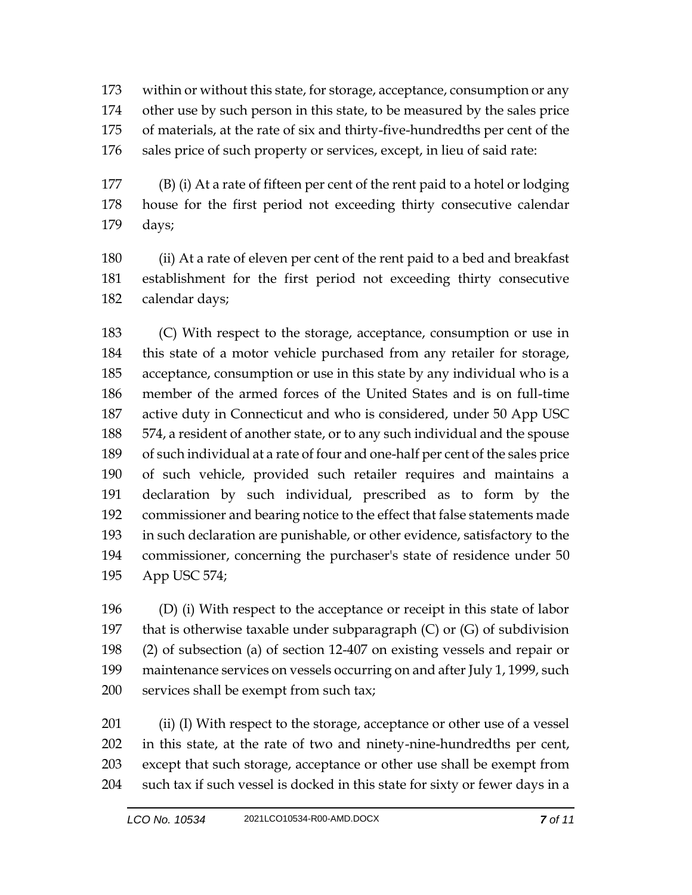within or without this state, for storage, acceptance, consumption or any other use by such person in this state, to be measured by the sales price of materials, at the rate of six and thirty-five-hundredths per cent of the sales price of such property or services, except, in lieu of said rate:

 (B) (i) At a rate of fifteen per cent of the rent paid to a hotel or lodging house for the first period not exceeding thirty consecutive calendar days;

 (ii) At a rate of eleven per cent of the rent paid to a bed and breakfast establishment for the first period not exceeding thirty consecutive calendar days;

 (C) With respect to the storage, acceptance, consumption or use in this state of a motor vehicle purchased from any retailer for storage, acceptance, consumption or use in this state by any individual who is a member of the armed forces of the United States and is on full-time active duty in Connecticut and who is considered, under 50 App USC 574, a resident of another state, or to any such individual and the spouse of such individual at a rate of four and one-half per cent of the sales price of such vehicle, provided such retailer requires and maintains a declaration by such individual, prescribed as to form by the commissioner and bearing notice to the effect that false statements made in such declaration are punishable, or other evidence, satisfactory to the commissioner, concerning the purchaser's state of residence under 50 App USC 574;

 (D) (i) With respect to the acceptance or receipt in this state of labor 197 that is otherwise taxable under subparagraph  $(C)$  or  $(G)$  of subdivision (2) of subsection (a) of section 12-407 on existing vessels and repair or maintenance services on vessels occurring on and after July 1, 1999, such 200 services shall be exempt from such tax;

201 (ii) (I) With respect to the storage, acceptance or other use of a vessel in this state, at the rate of two and ninety-nine-hundredths per cent, except that such storage, acceptance or other use shall be exempt from such tax if such vessel is docked in this state for sixty or fewer days in a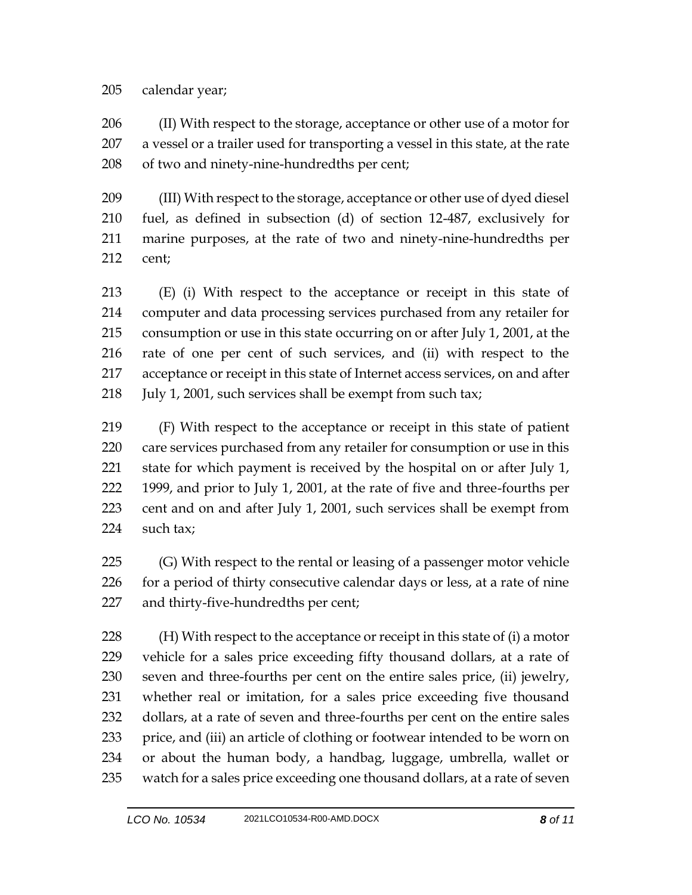## calendar year;

 (II) With respect to the storage, acceptance or other use of a motor for a vessel or a trailer used for transporting a vessel in this state, at the rate of two and ninety-nine-hundredths per cent;

 (III) With respect to the storage, acceptance or other use of dyed diesel fuel, as defined in subsection (d) of section 12-487, exclusively for marine purposes, at the rate of two and ninety-nine-hundredths per cent;

 (E) (i) With respect to the acceptance or receipt in this state of computer and data processing services purchased from any retailer for consumption or use in this state occurring on or after July 1, 2001, at the rate of one per cent of such services, and (ii) with respect to the acceptance or receipt in this state of Internet access services, on and after July 1, 2001, such services shall be exempt from such tax;

 (F) With respect to the acceptance or receipt in this state of patient care services purchased from any retailer for consumption or use in this 221 state for which payment is received by the hospital on or after July 1, 1999, and prior to July 1, 2001, at the rate of five and three-fourths per cent and on and after July 1, 2001, such services shall be exempt from such tax;

225 (G) With respect to the rental or leasing of a passenger motor vehicle 226 for a period of thirty consecutive calendar days or less, at a rate of nine and thirty-five-hundredths per cent;

 (H) With respect to the acceptance or receipt in this state of (i) a motor vehicle for a sales price exceeding fifty thousand dollars, at a rate of seven and three-fourths per cent on the entire sales price, (ii) jewelry, whether real or imitation, for a sales price exceeding five thousand dollars, at a rate of seven and three-fourths per cent on the entire sales price, and (iii) an article of clothing or footwear intended to be worn on or about the human body, a handbag, luggage, umbrella, wallet or watch for a sales price exceeding one thousand dollars, at a rate of seven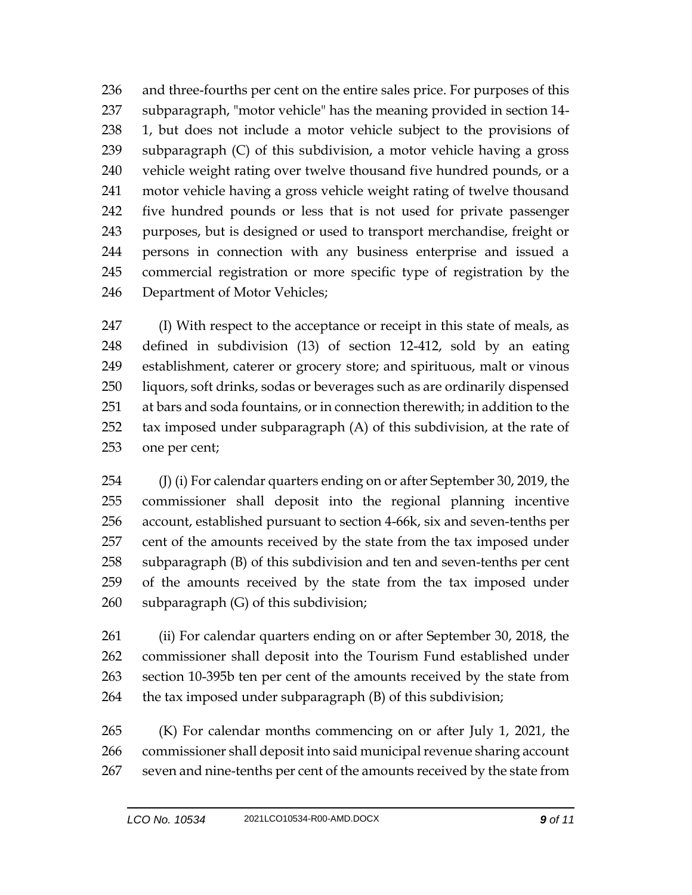and three-fourths per cent on the entire sales price. For purposes of this subparagraph, "motor vehicle" has the meaning provided in section 14- 1, but does not include a motor vehicle subject to the provisions of subparagraph (C) of this subdivision, a motor vehicle having a gross vehicle weight rating over twelve thousand five hundred pounds, or a motor vehicle having a gross vehicle weight rating of twelve thousand five hundred pounds or less that is not used for private passenger purposes, but is designed or used to transport merchandise, freight or persons in connection with any business enterprise and issued a commercial registration or more specific type of registration by the Department of Motor Vehicles;

 (I) With respect to the acceptance or receipt in this state of meals, as defined in subdivision (13) of section 12-412, sold by an eating establishment, caterer or grocery store; and spirituous, malt or vinous liquors, soft drinks, sodas or beverages such as are ordinarily dispensed at bars and soda fountains, or in connection therewith; in addition to the tax imposed under subparagraph (A) of this subdivision, at the rate of one per cent;

254 (J) (i) For calendar quarters ending on or after September 30, 2019, the commissioner shall deposit into the regional planning incentive account, established pursuant to section 4-66k, six and seven-tenths per cent of the amounts received by the state from the tax imposed under subparagraph (B) of this subdivision and ten and seven-tenths per cent of the amounts received by the state from the tax imposed under subparagraph (G) of this subdivision;

 (ii) For calendar quarters ending on or after September 30, 2018, the commissioner shall deposit into the Tourism Fund established under section 10-395b ten per cent of the amounts received by the state from 264 the tax imposed under subparagraph (B) of this subdivision;

 (K) For calendar months commencing on or after July 1, 2021, the commissioner shall deposit into said municipal revenue sharing account seven and nine-tenths per cent of the amounts received by the state from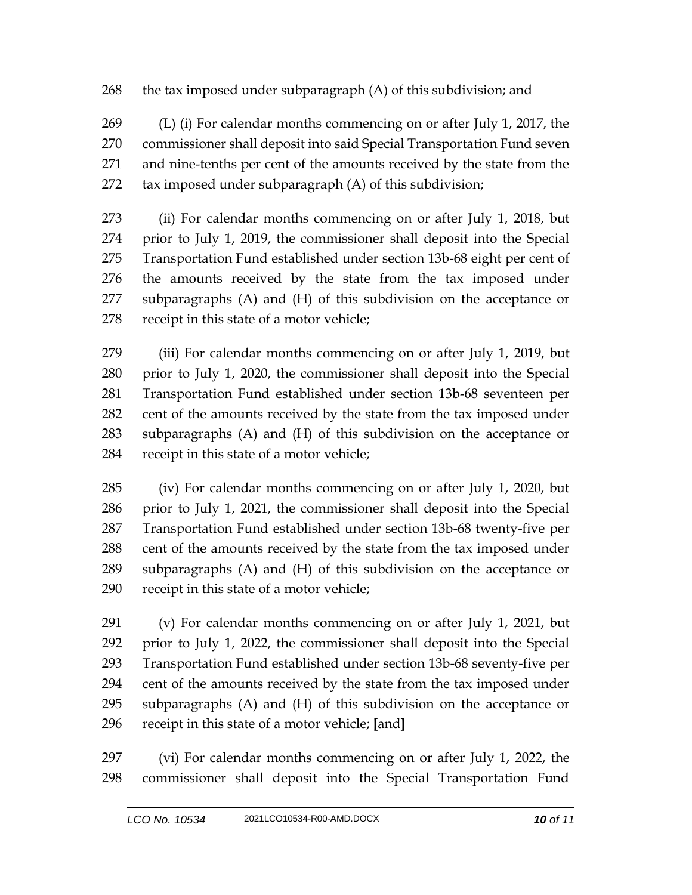268 the tax imposed under subparagraph (A) of this subdivision; and

 (L) (i) For calendar months commencing on or after July 1, 2017, the commissioner shall deposit into said Special Transportation Fund seven and nine-tenths per cent of the amounts received by the state from the tax imposed under subparagraph (A) of this subdivision;

 (ii) For calendar months commencing on or after July 1, 2018, but prior to July 1, 2019, the commissioner shall deposit into the Special Transportation Fund established under section 13b-68 eight per cent of the amounts received by the state from the tax imposed under subparagraphs (A) and (H) of this subdivision on the acceptance or receipt in this state of a motor vehicle;

 (iii) For calendar months commencing on or after July 1, 2019, but prior to July 1, 2020, the commissioner shall deposit into the Special Transportation Fund established under section 13b-68 seventeen per cent of the amounts received by the state from the tax imposed under subparagraphs (A) and (H) of this subdivision on the acceptance or receipt in this state of a motor vehicle;

 (iv) For calendar months commencing on or after July 1, 2020, but prior to July 1, 2021, the commissioner shall deposit into the Special Transportation Fund established under section 13b-68 twenty-five per cent of the amounts received by the state from the tax imposed under subparagraphs (A) and (H) of this subdivision on the acceptance or receipt in this state of a motor vehicle;

 (v) For calendar months commencing on or after July 1, 2021, but prior to July 1, 2022, the commissioner shall deposit into the Special Transportation Fund established under section 13b-68 seventy-five per cent of the amounts received by the state from the tax imposed under subparagraphs (A) and (H) of this subdivision on the acceptance or receipt in this state of a motor vehicle; **[**and**]**

 (vi) For calendar months commencing on or after July 1, 2022, the commissioner shall deposit into the Special Transportation Fund